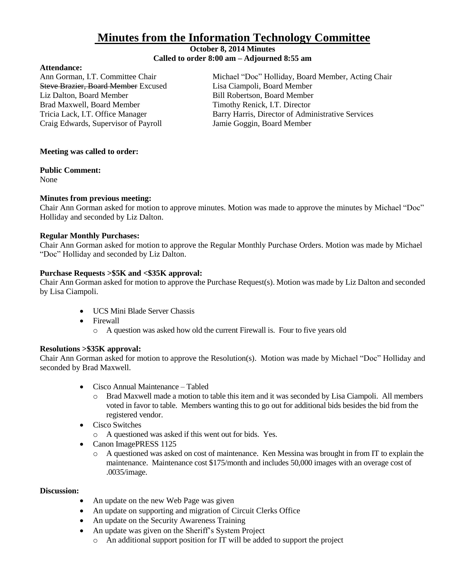# **Minutes from the Information Technology Committee**

## **October 8, 2014 Minutes Called to order 8:00 am – Adjourned 8:55 am**

#### **Attendance:**

Steve Brazier, Board Member Excused Lisa Ciampoli, Board Member Liz Dalton, Board Member **Bill Robertson, Board Member** Brad Maxwell, Board Member Timothy Renick, I.T. Director Craig Edwards, Supervisor of Payroll Jamie Goggin, Board Member

Ann Gorman, I.T. Committee Chair Michael "Doc" Holliday, Board Member, Acting Chair Tricia Lack, I.T. Office Manager Barry Harris, Director of Administrative Services

# **Meeting was called to order:**

## **Public Comment:**

None

# **Minutes from previous meeting:**

Chair Ann Gorman asked for motion to approve minutes. Motion was made to approve the minutes by Michael "Doc" Holliday and seconded by Liz Dalton.

# **Regular Monthly Purchases:**

Chair Ann Gorman asked for motion to approve the Regular Monthly Purchase Orders. Motion was made by Michael "Doc" Holliday and seconded by Liz Dalton.

## **Purchase Requests >\$5K and <\$35K approval:**

Chair Ann Gorman asked for motion to approve the Purchase Request(s). Motion was made by Liz Dalton and seconded by Lisa Ciampoli.

- UCS Mini Blade Server Chassis
- Firewall
	- o A question was asked how old the current Firewall is. Four to five years old

# **Resolutions >\$35K approval:**

Chair Ann Gorman asked for motion to approve the Resolution(s). Motion was made by Michael "Doc" Holliday and seconded by Brad Maxwell.

- Cisco Annual Maintenance Tabled
	- o Brad Maxwell made a motion to table this item and it was seconded by Lisa Ciampoli. All members voted in favor to table. Members wanting this to go out for additional bids besides the bid from the registered vendor.
- Cisco Switches
	- o A questioned was asked if this went out for bids. Yes.
- Canon ImagePRESS 1125
	- o A questioned was asked on cost of maintenance. Ken Messina was brought in from IT to explain the maintenance. Maintenance cost \$175/month and includes 50,000 images with an overage cost of .0035/image.

#### **Discussion:**

- An update on the new Web Page was given
- An update on supporting and migration of Circuit Clerks Office
- An update on the Security Awareness Training
- An update was given on the Sheriff's System Project
	- o An additional support position for IT will be added to support the project